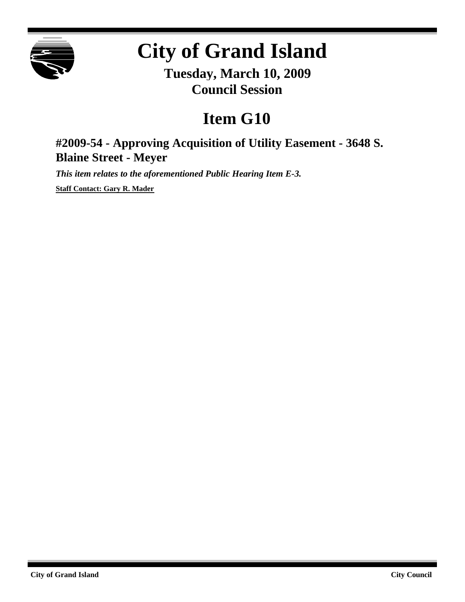

## **City of Grand Island**

**Tuesday, March 10, 2009 Council Session**

## **Item G10**

**#2009-54 - Approving Acquisition of Utility Easement - 3648 S. Blaine Street - Meyer**

*This item relates to the aforementioned Public Hearing Item E-3.*

**Staff Contact: Gary R. Mader**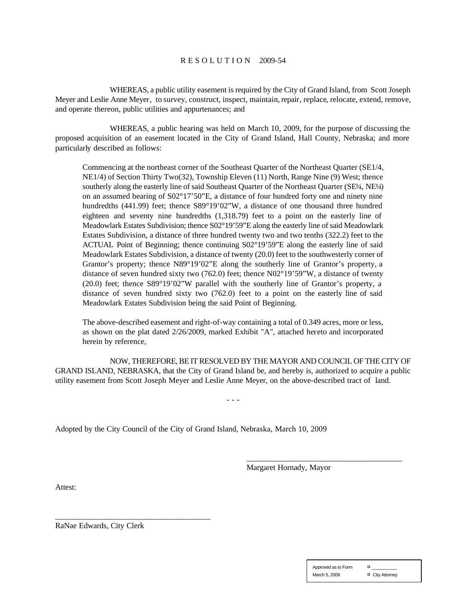## R E S O L U T I O N 2009-54

WHEREAS, a public utility easement is required by the City of Grand Island, from Scott Joseph Meyer and Leslie Anne Meyer, to survey, construct, inspect, maintain, repair, replace, relocate, extend, remove, and operate thereon, public utilities and appurtenances; and

WHEREAS, a public hearing was held on March 10, 2009, for the purpose of discussing the proposed acquisition of an easement located in the City of Grand Island, Hall County, Nebraska; and more particularly described as follows:

Commencing at the northeast corner of the Southeast Quarter of the Northeast Quarter (SE1/4, NE1/4) of Section Thirty Two(32), Township Eleven (11) North, Range Nine (9) West; thence southerly along the easterly line of said Southeast Quarter of the Northeast Quarter (SE¼, NE¼) on an assumed bearing of S02°17'50"E, a distance of four hundred forty one and ninety nine hundredths (441.99) feet; thence S89°19'02"W, a distance of one thousand three hundred eighteen and seventy nine hundredths (1,318.79) feet to a point on the easterly line of Meadowlark Estates Subdivision; thence S02°19'59"E along the easterly line of said Meadowlark Estates Subdivision, a distance of three hundred twenty two and two tenths (322.2) feet to the ACTUAL Point of Beginning; thence continuing S02°19'59"E along the easterly line of said Meadowlark Estates Subdivision, a distance of twenty (20.0) feet to the southwesterly corner of Grantor's property; thence N89°19'02"E along the southerly line of Grantor's property, a distance of seven hundred sixty two (762.0) feet; thence N02°19'59"W, a distance of twenty (20.0) feet; thence S89°19'02"W parallel with the southerly line of Grantor's property, a distance of seven hundred sixty two (762.0) feet to a point on the easterly line of said Meadowlark Estates Subdivision being the said Point of Beginning.

The above-described easement and right-of-way containing a total of 0.349 acres, more or less, as shown on the plat dated 2/26/2009, marked Exhibit "A", attached hereto and incorporated herein by reference,

NOW, THEREFORE, BE IT RESOLVED BY THE MAYOR AND COUNCIL OF THE CITY OF GRAND ISLAND, NEBRASKA, that the City of Grand Island be, and hereby is, authorized to acquire a public utility easement from Scott Joseph Meyer and Leslie Anne Meyer, on the above-described tract of land.

- - -

Adopted by the City Council of the City of Grand Island, Nebraska, March 10, 2009

Margaret Hornady, Mayor

\_\_\_\_\_\_\_\_\_\_\_\_\_\_\_\_\_\_\_\_\_\_\_\_\_\_\_\_\_\_\_\_\_\_\_\_\_\_\_

Attest:

RaNae Edwards, City Clerk

\_\_\_\_\_\_\_\_\_\_\_\_\_\_\_\_\_\_\_\_\_\_\_\_\_\_\_\_\_\_\_\_\_\_\_\_\_\_\_

| Approved as to Form | ¤               |
|---------------------|-----------------|
| March 5, 2009       | ¤ City Attorney |